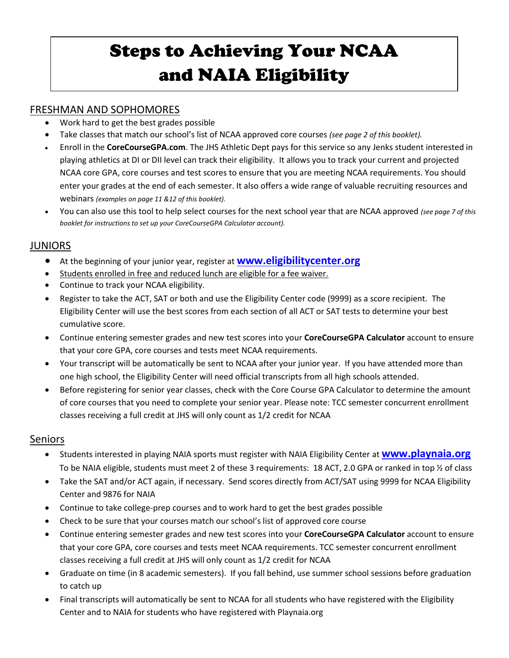# Steps to Achieving Your NCAA and NAIA Eligibility

## FRESHMAN AND SOPHOMORES

- Work hard to get the best grades possible
- Take classes that match our school's list of NCAA approved core courses *(see page 2 of this booklet).*
- Enroll in the **CoreCourseGPA.com**. The JHS Athletic Dept pays for this service so any Jenks student interested in playing athletics at DI or DII level can track their eligibility. It allows you to track your current and projected NCAA core GPA, core courses and test scores to ensure that you are meeting NCAA requirements. You should enter your grades at the end of each semester. It also offers a wide range of valuable recruiting resources and webinars *(examples on page 11 &12 of this booklet).*
- You can also use this tool to help select courses for the next school year that are NCAA approved *(see page 7 of this booklet for instructions to set up your CoreCourseGPA Calculator account).*

## **JUNIORS**

 $\ddot{\phantom{0}}$ 

- At the beginning of your junior year, register at **[www.eligibilitycenter.org](http://www.eligibilitycenter.org/)**
- Students enrolled in free and reduced lunch are eligible for a fee waiver.
- Continue to track your NCAA eligibility.
- Register to take the ACT, SAT or both and use the Eligibility Center code (9999) as a score recipient. The Eligibility Center will use the best scores from each section of all ACT or SAT tests to determine your best cumulative score.
- Continue entering semester grades and new test scores into your **CoreCourseGPA Calculator** account to ensure that your core GPA, core courses and tests meet NCAA requirements.
- Your transcript will be automatically be sent to NCAA after your junior year. If you have attended more than one high school, the Eligibility Center will need official transcripts from all high schools attended.
- Before registering for senior year classes, check with the Core Course GPA Calculator to determine the amount of core courses that you need to complete your senior year. Please note: TCC semester concurrent enrollment classes receiving a full credit at JHS will only count as 1/2 credit for NCAA

## Seniors

- Students interested in playing NAIA sports must register with NAIA Eligibility Center at **[www.playnaia.org](http://www.playnaia.org/)** To be NAIA eligible, students must meet 2 of these 3 requirements: 18 ACT, 2.0 GPA or ranked in top ½ of class
- Take the SAT and/or ACT again, if necessary. Send scores directly from ACT/SAT using 9999 for NCAA Eligibility Center and 9876 for NAIA
- Continue to take college-prep courses and to work hard to get the best grades possible
- Check to be sure that your courses match our school's list of approved core course
- Continue entering semester grades and new test scores into your **CoreCourseGPA Calculator** account to ensure that your core GPA, core courses and tests meet NCAA requirements. TCC semester concurrent enrollment classes receiving a full credit at JHS will only count as 1/2 credit for NCAA
- Graduate on time (in 8 academic semesters). If you fall behind, use summer school sessions before graduation to catch up
- Final transcripts will automatically be sent to NCAA for all students who have registered with the Eligibility Center and to NAIA for students who have registered with Playnaia.org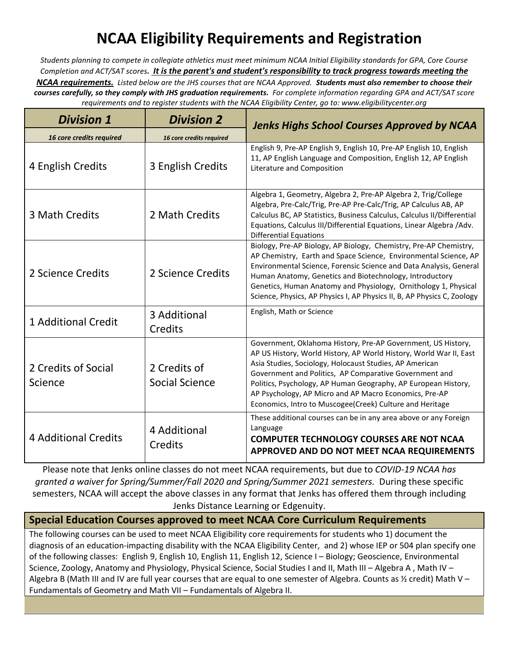## **NCAA Eligibility Requirements and Registration**

*Students planning to compete in collegiate athletics must meet minimum NCAA Initial Eligibility standards for GPA, Core Course Completion and ACT/SAT scores. It is the parent's and student's responsibility to track progress towards meeting the NCAA requirements. Listed below are the JHS courses that are NCAA Approved. Students must also remember to choose their courses carefully, so they comply with JHS graduation requirements. For complete information regarding GPA and ACT/SAT score requirements and to register students with the NCAA Eligibility Center, go to: www.eligibilitycenter.org* 

| <b>Division 1</b>              | <b>Division 2</b>                     | <b>Jenks Highs School Courses Approved by NCAA</b>                                                                                                                                                                                                                                                                                                                                                                                              |  |  |  |  |
|--------------------------------|---------------------------------------|-------------------------------------------------------------------------------------------------------------------------------------------------------------------------------------------------------------------------------------------------------------------------------------------------------------------------------------------------------------------------------------------------------------------------------------------------|--|--|--|--|
| 16 core credits required       | 16 core credits required              |                                                                                                                                                                                                                                                                                                                                                                                                                                                 |  |  |  |  |
| 4 English Credits              | 3 English Credits                     | English 9, Pre-AP English 9, English 10, Pre-AP English 10, English<br>11, AP English Language and Composition, English 12, AP English<br>Literature and Composition                                                                                                                                                                                                                                                                            |  |  |  |  |
| 3 Math Credits                 | 2 Math Credits                        | Algebra 1, Geometry, Algebra 2, Pre-AP Algebra 2, Trig/College<br>Algebra, Pre-Calc/Trig, Pre-AP Pre-Calc/Trig, AP Calculus AB, AP<br>Calculus BC, AP Statistics, Business Calculus, Calculus II/Differential<br>Equations, Calculus III/Differential Equations, Linear Algebra /Adv.<br><b>Differential Equations</b>                                                                                                                          |  |  |  |  |
| 2 Science Credits              | 2 Science Credits                     | Biology, Pre-AP Biology, AP Biology, Chemistry, Pre-AP Chemistry,<br>AP Chemistry, Earth and Space Science, Environmental Science, AP<br>Environmental Science, Forensic Science and Data Analysis, General<br>Human Anatomy, Genetics and Biotechnology, Introductory<br>Genetics, Human Anatomy and Physiology, Ornithology 1, Physical<br>Science, Physics, AP Physics I, AP Physics II, B, AP Physics C, Zoology                            |  |  |  |  |
| <b>1 Additional Credit</b>     | 3 Additional<br>Credits               | English, Math or Science                                                                                                                                                                                                                                                                                                                                                                                                                        |  |  |  |  |
| 2 Credits of Social<br>Science | 2 Credits of<br><b>Social Science</b> | Government, Oklahoma History, Pre-AP Government, US History,<br>AP US History, World History, AP World History, World War II, East<br>Asia Studies, Sociology, Holocaust Studies, AP American<br>Government and Politics, AP Comparative Government and<br>Politics, Psychology, AP Human Geography, AP European History,<br>AP Psychology, AP Micro and AP Macro Economics, Pre-AP<br>Economics, Intro to Muscogee(Creek) Culture and Heritage |  |  |  |  |
| <b>4 Additional Credits</b>    | 4 Additional<br>Credits               | These additional courses can be in any area above or any Foreign<br>Language<br><b>COMPUTER TECHNOLOGY COURSES ARE NOT NCAA</b><br>APPROVED AND DO NOT MEET NCAA REQUIREMENTS                                                                                                                                                                                                                                                                   |  |  |  |  |

Please note that Jenks online classes do not meet NCAA requirements, but due to *COVID-19 NCAA has granted a waiver for Spring/Summer/Fall 2020 and Spring/Summer 2021 semesters.* During these specific semesters, NCAA will accept the above classes in any format that Jenks has offered them through including Jenks Distance Learning or Edgenuity.

## **Special Education Courses approved to meet NCAA Core Curriculum Requirements**

The following courses can be used to meet NCAA Eligibility core requirements for students who 1) document the diagnosis of an education-impacting disability with the NCAA Eligibility Center, and 2) whose IEP or 504 plan specify one of the following classes: English 9, English 10, English 11, English 12, Science I – Biology; Geoscience, Environmental Science, Zoology, Anatomy and Physiology, Physical Science, Social Studies I and II, Math III – Algebra A , Math IV – Algebra B (Math III and IV are full year courses that are equal to one semester of Algebra. Counts as  $\frac{1}{2}$  credit) Math V – Fundamentals of Geometry and Math VII – Fundamentals of Algebra II.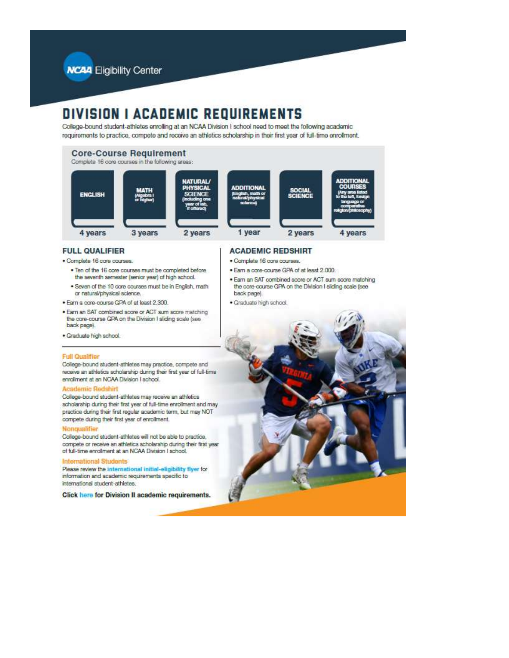## **DIVISION I ACADEMIC REQUIREMENTS**

College-bound student-athletes enrolling at an NCAA Division I school need to meet the following academic requirements to practice, compete and receive an athletics scholarship in their first year of full-time enrolment.



#### **FULL QUALIFIER**

- · Complete 16 core courses.
	- . Ten of the 16 core courses must be completed before the seventh semester (senior year) of high school.
	- . Seven of the 10 core courses must be in English, math or natural/physical science.
- · Earn a core-course GPA of at least 2.300.
- . Earn an SAT combined score or ACT sum score matching the core-course GPA on the Division I sliding scale (see back page).
- · Graduate high school.

#### **Full Qualifier**

College-bound student-athletes may practice, compete and receive an athletics scholarship during their first year of full-time enrollment at an NCAA Division I school.

#### **Academic Redshirt**

College-bound student-athletes may receive an athletics scholarship during their first year of full-time enrollment and may practice during their first regular academic term, but may NOT compete during their first year of enrollment.

#### Nongualifier

College-bound student-athletes will not be able to practice, compete or receive an athletics scholarship during their first year of full-time enrollment at an NCAA Division I school.

#### **International Students**

Please review the international initial-eligibility flyer for information and academic requirements specific to international student-athletes.

Click here for Division II academic requirements.

#### **ACADEMIC REDSHIRT**

- · Complete 16 core courses.
- . Earn a core-course GPA of at least 2.000.
- . Earn an SAT combined score or ACT sum score matching the core-course GPA on the Division I sliding scale (see back page).
- · Graduate high school.

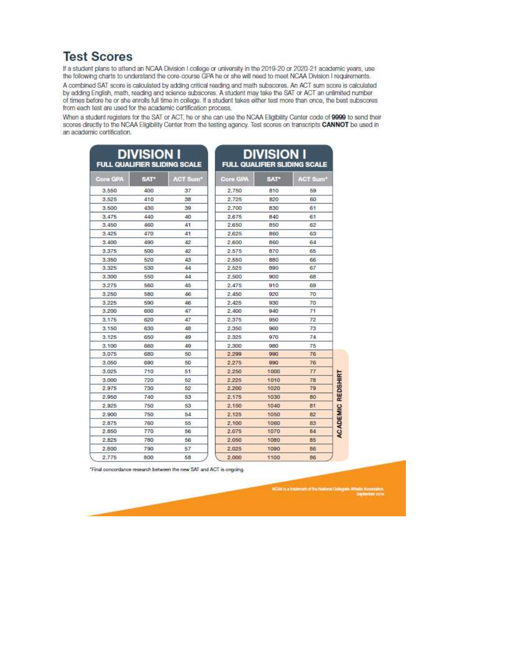## **Test Scores**

If a student plans to attend an NCAA Division I college or university in the 2019-20 or 2020-21 academic years, use the following charts to understand the core-course GPA he or she will need to meet NCAA Division I requirements.

A combined SAT score is calculated by adding critical reading and math subscores. An ACT sum score is calculated by adding English, math, reading and science subscores. A student may take the SAT or ACT an unlimited number<br>of times before he or she enrolls full time in college. If a student takes either test more than once, the best from each test are used for the academic certification process.

When a student registers for the SAT or ACT, he or she can use the NCAA Eligibility Center code of 9999 to send their scores directly to the NCAA Eligibility Center from the testing agency. Test scores on transcripts CANNOT be used in an academic certification.

|                                            | <b>DIVISION I</b> | <b>FULL QUALIFIER SLIDING SCALE</b> | <b>DIVISION I</b><br><b>FULL QUALIFIER SLIDING SCALE</b> |            |                 |  |  |
|--------------------------------------------|-------------------|-------------------------------------|----------------------------------------------------------|------------|-----------------|--|--|
| <b>SAT</b> <sup>*</sup><br><b>Core GPA</b> |                   | AGT Sum                             | Core GPA                                                 | <b>SAT</b> | <b>AGT Sum*</b> |  |  |
| 3,550                                      | 400               | 37                                  | 2.750                                                    | 810        | 59              |  |  |
| 3,525                                      | 410               | 38                                  | 2,725                                                    | 820        | 60              |  |  |
| 3,500                                      | 430               | 39                                  | 2.700                                                    | 830        | 61              |  |  |
| 3.475                                      | 440               | 40                                  | 2.675                                                    | 840        | 61              |  |  |
| 3.450                                      | 460               | 41                                  | 2,650                                                    | 850        | 62              |  |  |
| 3.425                                      | 470               | 41                                  | 2.625                                                    | 860        | 63              |  |  |
| 3.400                                      | 490               | 42                                  | 2,600                                                    | 860        | 64              |  |  |
| 3.375                                      | 500               | 42                                  | 2.575                                                    | 870        | 65              |  |  |
| 3.350                                      | 520               | 43                                  | 2,550                                                    | 880        | 66              |  |  |
| 3.325                                      | 530               | 44                                  | 2.525                                                    | 890        | 67              |  |  |
| 3.300                                      | 550               | 44                                  | 2,500                                                    | 900        | 68              |  |  |
| 3.275                                      | 580               | 45                                  | 2.475                                                    | 910        | 69              |  |  |
| 3.250                                      | 580               | 46                                  | 2.450                                                    | 920        | 70              |  |  |
| 3.225                                      | 590               | 46                                  | 2.425                                                    | 930        | 70              |  |  |
| 3.200                                      | 600               | 47                                  | 2,400                                                    | 940        | 71              |  |  |
| 3.175                                      | 620               | 47                                  | 2.375                                                    | 950        | 72              |  |  |
| 3.150                                      | 630               | 48                                  | 2,350                                                    | 960        | 73              |  |  |
| 3.125                                      | 650               | 49                                  | 2,325                                                    | 970        | 74              |  |  |
| 3.100                                      | 660               | 49                                  | 2,300                                                    | 980        | 75              |  |  |
| 3.075                                      | 680               | 50                                  | 2,299                                                    | 990        | 76              |  |  |
| 3.050                                      | 690               | 50                                  | 2,275                                                    | 990        | 76              |  |  |
| 3.025                                      | 710               | 51                                  | 2,250                                                    | 1000       | 77              |  |  |
| 3.000                                      | 720               | 52                                  | 2.225                                                    | 1010       | 78              |  |  |
| 2.975                                      | 730               | 52                                  | 2,200                                                    | 1020       | 79              |  |  |
| 2,950                                      | 740               | 53                                  | 2.175                                                    | 1030       | 80              |  |  |
| 2.925                                      | 750               | 53                                  | 2:150                                                    | 1040       | 81              |  |  |
| 2.900                                      | 750               | 54                                  | 2.125                                                    | 1050       | 82              |  |  |
| 2.875                                      | 760               | 55                                  | 2.100                                                    | 1060       | 83              |  |  |
| 2,850                                      | 770               | 56                                  | 2.075                                                    | 1070       | 84              |  |  |
| 2.825                                      | 780               | 56                                  | 2:050                                                    | 1080       | 85              |  |  |
| 2,800                                      | 790               | 57                                  | 2.025                                                    | 1090       | 86              |  |  |
| 2.775                                      | 800               | 58                                  | 2,000                                                    | 1100       | 86              |  |  |

'Final concordance research between the new SAT and ACT is ongoing.

NCAA is a frademark of the National Colleg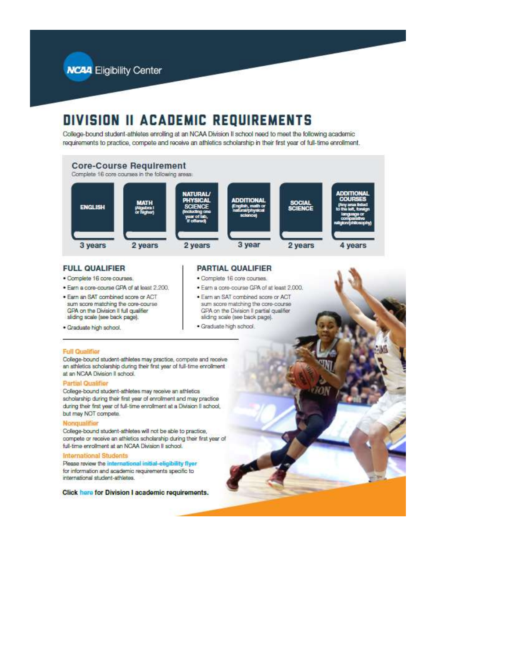**NC44** Eligibility Center

## **DIVISION II ACADEMIC REQUIREMENTS**

College-bound student-athletes enrolling at an NCAA Division II school need to meet the following academic requirements to practice, compete and receive an athletics scholarship in their first year of full-time enrollment.



#### **FULL QUALIFIER**

- · Complete 16 core courses.
- · Earn a core-course GPA of at least 2.200.
- . Earn an SAT combined score or ACT sum score matching the core-course GPA on the Division II full qualifier sliding scale (see back page).
- · Graduate high school.

#### PARTIAL QUALIFIER

- · Complete 16 core courses.
- · Earn a core-course GPA of at least 2,000.
- . Earn an SAT combined score or ACT sum score matching the core-course GPA on the Division II partial qualifier sliding scale (see back page).
- · Graduate high school.

#### **Full Qualifier**

College-bound student-athletes may practice, compete and receive an athletics scholarship during their first year of full-time enrollment at an NCAA Division II school.

#### **Partial Qualifier**

College-bound student-athletes may receive an athletics scholarship during their first year of enrollment and may practice during their first year of full-time enrollment at a Division II school, but may NOT compete.

#### Nonqualifier

College-bound student-athletes will not be able to practice, compete or receive an athletics scholarship during their first year of full-time enrollment at an NCAA Division II school.

#### **International Students**

Please review the international initial-eligibility flyer for information and academic requirements specific to international student-athletes.

Click here for Division I academic requirements.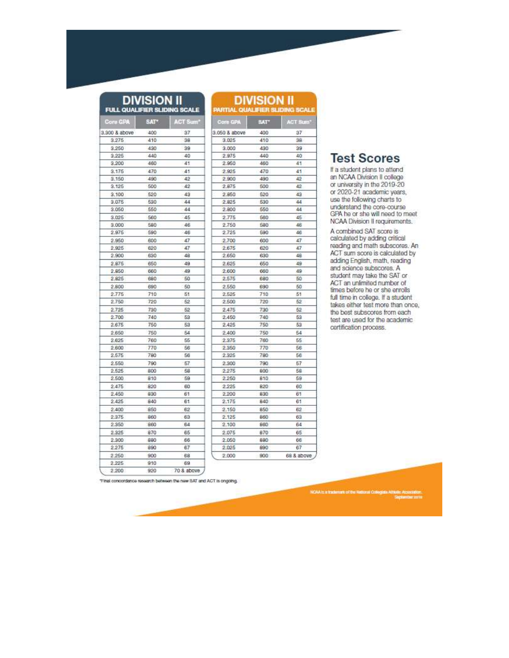| <b>DIVISION II</b><br><b>FULL QUALIFIER SLIDING SCALE</b> |                  | <b>PARTIAL C</b> |               |  |  |
|-----------------------------------------------------------|------------------|------------------|---------------|--|--|
| <b>Core GPA</b>                                           | SAT <sup>*</sup> | ACT Sum"         | Core GPA      |  |  |
| 3.300 & above                                             | 400              | 37               | 3.050 & above |  |  |
| 3,275                                                     | 410              | 38               | 3.025         |  |  |
| 3,250                                                     | 430              | 39               | 3.000         |  |  |
| 3.225                                                     | 440              | 40               | 2.975         |  |  |
| 3,200                                                     | 460              | 41               | 2.950         |  |  |
| 3.175                                                     | 470              | 41               | 2.925         |  |  |
| 3.150                                                     | 490              | 42               | 2.900         |  |  |
| 3.125                                                     | 500              | 42               | 2.875         |  |  |
| 3,100                                                     | 620              | 43               | 2,850         |  |  |
| 3.075                                                     | 530              | 44               | 2.825         |  |  |
| 3.050                                                     | 550              | 44               | 2,800         |  |  |
| 3.025                                                     | 560              | 45               | 2.775         |  |  |
| 3.000                                                     | 580              | 46               | 2.750         |  |  |
| 2.975                                                     | 590              | 46               | 2.725         |  |  |
| 2.950                                                     | 600              | 47               | 2,700         |  |  |
| 2.925                                                     | 620              | 47               | 2.675         |  |  |
| 2.900                                                     | 690              | 48               | 2.650         |  |  |
| 2.875                                                     | 650              | 49               | 2.625         |  |  |
| 2,850                                                     | 660              | 49               | 2.600         |  |  |
| 2,825                                                     | 690              | 50               | 2.575         |  |  |
| 2,800                                                     | 690              | 60               | 2,550         |  |  |
| 2.775                                                     | 710              | 51               | 2,525         |  |  |
| 2.750                                                     | 720              | 62               | 2,500         |  |  |
| 2.725                                                     | 730              | 52               | 2.475         |  |  |
| 2.700                                                     | 740              | 53               | 2,450         |  |  |
| 2.675                                                     | 750              | 63               | 2.425         |  |  |
| 2.650                                                     | 760              | 54               | 2,400         |  |  |
| 2.625                                                     | 760              | 55               | 2.375         |  |  |
| 2.600                                                     | 770              | 56               | 2,350         |  |  |
| 2.575                                                     | 780              | 56               | 2.325         |  |  |
| 2.550                                                     | 790              | 57               | 2.300         |  |  |
| 2.525                                                     | 800              | 58               | 2.275         |  |  |
| 2.500                                                     | 810              | 59               | 2,250         |  |  |
| 2.475                                                     | 820              | 60               | 2.225         |  |  |
| 2.450                                                     | 830              | 61               | 2,200         |  |  |
| 2.425                                                     | 840              | 61               | 2.175         |  |  |
| 2,400                                                     | 850              | 62               | 2.150         |  |  |
| 2.375                                                     | 860              | 63               | 2.125         |  |  |
| 2.350                                                     | 860              | 64               | 2.100         |  |  |
| 2.325                                                     | 870              | 65               | 2.075         |  |  |
| 2.300                                                     | 880              | 66               | 2.050         |  |  |
| 2.275                                                     | 890              | 67               | 2.025         |  |  |
| 2.250                                                     | 900              | 68               | 2.000         |  |  |
| 2.225                                                     | 910              | 69               |               |  |  |
| 2,200                                                     | 920              | 70 & above       |               |  |  |

## **ISION II**

730

740

750

750

760

770

780

790

600

810

820

830

840

850

860

860 870

880

890

900

 $62$ 

53

53

64

55

 $66\,$ 

56

57

 $56$ 

69

60

61

 $61$ 

 $62\,$ 

63  $64$ 

65

66

 $67$ 

68 & above

|            | <b>LIFIER SLIDING SCALE</b> |                                        |
|------------|-----------------------------|----------------------------------------|
| <b>SAT</b> | <b>ACT Sum*</b>             |                                        |
| 400        | 37                          |                                        |
| 410        | 38                          |                                        |
| 430        | 39                          |                                        |
| 440        | 40                          | <b>Test Sc</b>                         |
| 460        | 41                          |                                        |
| 470        | 41                          | If a student plan                      |
| 490        | 42                          | an NCAA Divisi                         |
| 600        | 42                          | or university in                       |
| 520        | 49                          | or 2020-21 aca                         |
| 530        | 44                          | use the followin                       |
| 550        | 44                          | understand the                         |
| 680        | 45                          | GPA he or she                          |
| 580        | 46                          | <b>NCAA Division</b>                   |
| 690        | 46                          | A combined SA                          |
| 600        | 47                          | calculated by a                        |
| 620        | 47                          | reading and ma                         |
| 630        | 48                          | <b>ACT sum score</b>                   |
| 650        | 49                          | adding English,                        |
| 660        | 49                          | and science su                         |
| 680        | 50                          | student may tal                        |
| 690        | 50                          | <b>ACT an unlimite</b>                 |
| 710        | 51                          | times before he                        |
| 720        | 52                          | full time in colle<br>takee either tee |
|            |                             |                                        |

## cores

ns to attend on il college the 2019-20<br>ademic years, g charts to ore-course Il requirements.

AT score is<br>adding critical ath subscores. An is calculated by math, reading bscores. A<br>ke the SAT or ed number of ed names: or<br>e or she enrolls<br>age. If a student takes either test more than once, the best subscores from each test are used for the academic certification process.

"Final concordance research between the new SAT and ACT is ongoing.

NOAA's a trademati of the National Collegiate A Note Association.<br>Signaritar arriv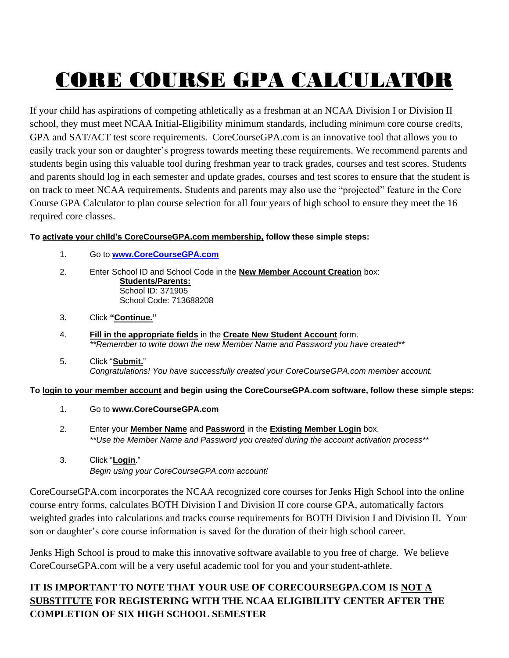# CORE COURSE GPA CALCULATOR

If your child has aspirations of competing athletically as a freshman at an NCAA Division I or Division II school, they must meet NCAA Initial-Eligibility minimum standards, including minimum core course credits, GPA and SAT/ACT test score requirements. CoreCourseGPA.com is an innovative tool that allows you to easily track your son or daughter's progress towards meeting these requirements. We recommend parents and students begin using this valuable tool during freshman year to track grades, courses and test scores. Students and parents should log in each semester and update grades, courses and test scores to ensure that the student is on track to meet NCAA requirements. Students and parents may also use the "projected" feature in the Core Course GPA Calculator to plan course selection for all four years of high school to ensure they meet the 16 required core classes.

#### **To activate your child's CoreCourseGPA.com membership, follow these simple steps:**

- 1. Go to **[www.CoreCourseGPA.com](http://www.corecoursegpa.com/)**
- 2. Enter School ID and School Code in the **New Member Account Creation** box: **Students/Parents:** School ID: 371905 School Code: 713688208
- 3. Click **"Continue."**
- 4. **Fill in the appropriate fields** in the **Create New Student Account** form. *\*\*Remember to write down the new Member Name and Password you have created\*\**
- 5. Click "**Submit.**" *Congratulations! You have successfully created your CoreCourseGPA.com member account.*

**To login to your member account and begin using the CoreCourseGPA.com software, follow these simple steps:**

- 1. Go to **www.CoreCourseGPA.com**
- 2. Enter your **Member Name** and **Password** in the **Existing Member Login** box. *\*\*Use the Member Name and Password you created during the account activation process\*\**
- 3. Click "**Login**." *Begin using your CoreCourseGPA.com account!*

CoreCourseGPA.com incorporates the NCAA recognized core courses for Jenks High School into the online course entry forms, calculates BOTH Division I and Division II core course GPA, automatically factors weighted grades into calculations and tracks course requirements for BOTH Division I and Division II. Your son or daughter's core course information is saved for the duration of their high school career.

Jenks High School is proud to make this innovative software available to you free of charge. We believe CoreCourseGPA.com will be a very useful academic tool for you and your student-athlete.

## **IT IS IMPORTANT TO NOTE THAT YOUR USE OF CORECOURSEGPA.COM IS NOT A SUBSTITUTE FOR REGISTERING WITH THE NCAA ELIGIBILITY CENTER AFTER THE COMPLETION OF SIX HIGH SCHOOL SEMESTER**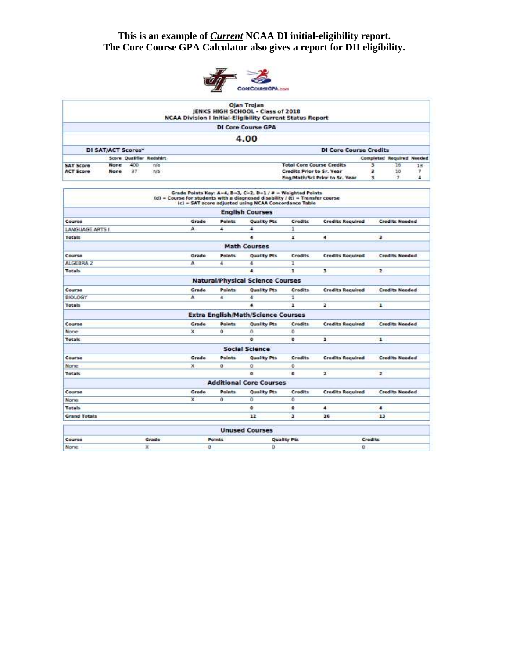#### **This is an example of** *Current* **NCAA DI initial-eligibility report. The Core Course GPA Calculator also gives a report for DII eligibility.**



|                        |                    |                          |       |       |               | Ojan Trojan<br>JENKS HIGH SCHOOL - Class of 2018<br><b>NCAA Division I Initial-Eligibility Current Status Report</b>                                                                                 |                                  |                                |                |                                  |        |
|------------------------|--------------------|--------------------------|-------|-------|---------------|------------------------------------------------------------------------------------------------------------------------------------------------------------------------------------------------------|----------------------------------|--------------------------------|----------------|----------------------------------|--------|
|                        |                    |                          |       |       |               | <b>DI Core Course GPA</b>                                                                                                                                                                            |                                  |                                |                |                                  |        |
|                        |                    |                          |       |       |               | 4.00                                                                                                                                                                                                 |                                  |                                |                |                                  |        |
|                        | DI SAT/ACT Scores* |                          |       |       |               |                                                                                                                                                                                                      |                                  | <b>DI Core Course Credits</b>  |                |                                  |        |
|                        |                    | Score Qualifier Redshirt |       |       |               |                                                                                                                                                                                                      |                                  |                                |                | <b>Completed Required Needed</b> |        |
| <b>SAT Score</b>       | None               | 400                      | n/a   |       |               |                                                                                                                                                                                                      | <b>Total Core Course Credits</b> |                                | 3              | 16                               | 13     |
| <b>ACT Score</b>       | None               | 37                       | n/a   |       |               |                                                                                                                                                                                                      | Credits Prior to Sr. Year        | Eng/Math/Sci Prior to Sr. Year | з<br>з         | 10<br>$\tau$                     | 7<br>٠ |
|                        |                    |                          |       |       |               | Grade Points Key: A=4, B=3, C=2, D=1 / # = Weighted Points<br>(d) = Course for students with a diagnosed disability / (t) = Transfer course<br>(c) = SAT score adjusted using NCAA Concordance Table |                                  |                                |                |                                  |        |
|                        |                    |                          |       |       |               | <b>English Courses</b>                                                                                                                                                                               |                                  |                                |                |                                  |        |
| Course                 |                    |                          |       | Grade | <b>Points</b> | <b>Quality Pts</b>                                                                                                                                                                                   | Credits                          | <b>Credits Required</b>        |                | <b>Credits Needed</b>            |        |
| <b>LANGUAGE ARTS I</b> |                    |                          |       | А     | ٠             | 4                                                                                                                                                                                                    | 1                                |                                |                |                                  |        |
| Totals                 |                    |                          |       |       |               | 4                                                                                                                                                                                                    | ı                                | 4                              | э              |                                  |        |
|                        |                    |                          |       |       |               | <b>Math Courses</b>                                                                                                                                                                                  |                                  |                                |                |                                  |        |
| Course                 |                    |                          |       | Grade | Points        | <b>Quality Pts</b>                                                                                                                                                                                   | Credits                          | <b>Credits Required</b>        |                | <b>Credits Needed</b>            |        |
| ALGEBRA 2              |                    |                          |       | А     | z.            | 4                                                                                                                                                                                                    | ı                                |                                |                |                                  |        |
| Totals                 |                    |                          |       |       |               | 4                                                                                                                                                                                                    | ı                                | з                              | $\overline{2}$ |                                  |        |
|                        |                    |                          |       |       |               | <b>Natural/Physical Science Courses</b>                                                                                                                                                              |                                  |                                |                |                                  |        |
| Course                 |                    |                          |       | Grade | Points        | <b>Quality Pts</b>                                                                                                                                                                                   | Cradits                          | <b>Credits Required</b>        |                | <b>Credits Needed</b>            |        |
| <b>BIOLOGY</b>         |                    |                          |       | A     | ż.            | 4                                                                                                                                                                                                    | 1                                |                                |                |                                  |        |
| <b>Totals</b>          |                    |                          |       |       |               | 4                                                                                                                                                                                                    | ı                                | 2                              | ı              |                                  |        |
|                        |                    |                          |       |       |               | <b>Extra English/Math/Science Courses</b>                                                                                                                                                            |                                  |                                |                |                                  |        |
| Course                 |                    |                          |       | Grade | <b>Points</b> | <b>Quality Pts</b>                                                                                                                                                                                   | Credits                          | <b>Credits Required</b>        |                | <b>Credits Needed</b>            |        |
| None                   |                    |                          |       | ×     | ű             | ó                                                                                                                                                                                                    | o                                |                                |                |                                  |        |
| <b>Totals</b>          |                    |                          |       |       |               | ۰                                                                                                                                                                                                    | o                                | 1                              | ı              |                                  |        |
|                        |                    |                          |       |       |               | <b>Social Science</b>                                                                                                                                                                                |                                  |                                |                |                                  |        |
| Course                 |                    |                          |       | Grade | <b>Points</b> | <b>Quality Pts</b>                                                                                                                                                                                   | Credits                          | <b>Credits Required</b>        |                | <b>Credits Needed</b>            |        |
| None                   |                    |                          |       | x     | o             | Ü                                                                                                                                                                                                    | o                                |                                |                |                                  |        |
| Totals                 |                    |                          |       |       |               | ۰                                                                                                                                                                                                    | $\mathbf{0}$                     | 2                              | z              |                                  |        |
|                        |                    |                          |       |       |               | <b>Additional Core Courses</b>                                                                                                                                                                       |                                  |                                |                |                                  |        |
| Course                 |                    |                          |       | Grade | <b>Points</b> | <b>Quality Pts</b>                                                                                                                                                                                   | Cradits                          | <b>Credits Required</b>        |                | <b>Credits Needed</b>            |        |
| None                   |                    |                          |       | x     | o             | Ű                                                                                                                                                                                                    | ٥                                |                                |                |                                  |        |
| Totals                 |                    |                          |       |       |               | ۰                                                                                                                                                                                                    | $\mathbf o$                      | 4                              | 4              |                                  |        |
| <b>Grand Totals</b>    |                    |                          |       |       |               | 12                                                                                                                                                                                                   | з                                | 16                             | 13             |                                  |        |
|                        |                    |                          |       |       |               | <b>Unused Courses</b>                                                                                                                                                                                |                                  |                                |                |                                  |        |
| Course                 |                    |                          | Grade |       | <b>Points</b> |                                                                                                                                                                                                      | Quality Pts                      |                                | Credits        |                                  |        |

 $\mathbf{0}$ 

o

×.

o

Course

None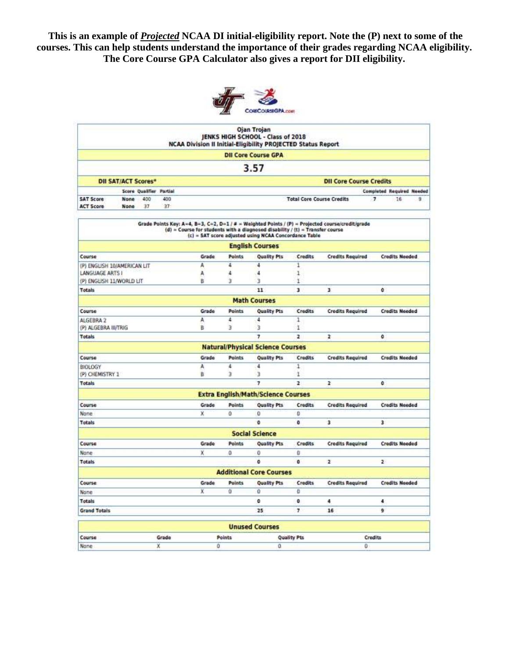**This is an example of** *Projected* **NCAA DI initial-eligibility report. Note the (P) next to some of the courses. This can help students understand the importance of their grades regarding NCAA eligibility. The Core Course GPA Calculator also gives a report for DII eligibility.**



|                                      |                            |                         |           |       |               | <b>Ojan Trojan</b><br>JENKS HIGH SCHOOL - Class of 2018<br>NCAA Division II Initial-Eligibility PROJECTED Status Report                |                                  |                                                                                                  |                                  |
|--------------------------------------|----------------------------|-------------------------|-----------|-------|---------------|----------------------------------------------------------------------------------------------------------------------------------------|----------------------------------|--------------------------------------------------------------------------------------------------|----------------------------------|
|                                      |                            |                         |           |       |               | <b>DII Core Course GPA</b>                                                                                                             |                                  |                                                                                                  |                                  |
|                                      |                            |                         |           |       |               | 3.57                                                                                                                                   |                                  |                                                                                                  |                                  |
|                                      | <b>DII SAT/ACT Scores*</b> |                         |           |       |               |                                                                                                                                        |                                  | <b>Dil Core Course Credits</b>                                                                   |                                  |
|                                      |                            | Score Qualifier Partial |           |       |               |                                                                                                                                        |                                  |                                                                                                  | <b>Completed Required Needed</b> |
| <b>SAT Score</b><br><b>ACT Score</b> | None<br>None               | 400<br>37               | 490<br>37 |       |               |                                                                                                                                        | <b>Total Core Course Credits</b> |                                                                                                  | 9<br>$\overline{ }$<br>16        |
|                                      |                            |                         |           |       |               | (d) = Course for students with a diagnosed disability / (t) = Transfer course<br>(c) = SAT score adjusted using NCAA Concordance Table |                                  | Grade Points Key: A=4, B=3, C=2, D=1 / # = Weighted Points / (P) = Projected course/credit/grade |                                  |
|                                      |                            |                         |           |       |               | <b>English Courses</b>                                                                                                                 |                                  |                                                                                                  |                                  |
| Course                               |                            |                         |           | Grade | <b>Points</b> | <b>Quality Pts</b>                                                                                                                     | Credits                          | <b>Credits Required</b>                                                                          | <b>Credits Needed</b>            |
| (P) ENGLISH 10/AMERICAN LIT          |                            |                         |           | A     | ă             | 4                                                                                                                                      | 1                                |                                                                                                  |                                  |
| LANGUAGE ARTS I                      |                            |                         |           | A     | Δ             | 4                                                                                                                                      | 1                                |                                                                                                  |                                  |
| (P) ENGLISH 11/WORLD LIT             |                            |                         |           | B     | з             | з                                                                                                                                      | ï                                |                                                                                                  |                                  |
| <b>Totals</b>                        |                            |                         |           |       |               | 11                                                                                                                                     | 3                                | 3                                                                                                | ۰                                |
|                                      |                            |                         |           |       |               | <b>Math Courses</b>                                                                                                                    |                                  |                                                                                                  |                                  |
| Course                               |                            |                         |           | Grade | Points        | <b>Quality Pts</b>                                                                                                                     | Credits                          | <b>Credits Required</b>                                                                          | <b>Cradits Needed</b>            |
| ALGEBRA 2                            |                            |                         |           | A     | ٠             | 4                                                                                                                                      | 1                                |                                                                                                  |                                  |
| (P) ALGEBRA III/TRIG                 |                            |                         |           | в     | з             | з                                                                                                                                      | ī                                |                                                                                                  |                                  |
| <b>Totals</b>                        |                            |                         |           |       |               | $\overline{ }$                                                                                                                         | $\overline{2}$                   | ż.                                                                                               | ٥                                |
|                                      |                            |                         |           |       |               | <b>Natural/Physical Science Courses</b>                                                                                                |                                  |                                                                                                  |                                  |
| Course                               |                            |                         |           | Grade | Points        | <b>Quality Pts</b>                                                                                                                     | Credits                          | <b>Credits Required</b>                                                                          | <b>Credits Needed</b>            |
| <b>BIOLOGY</b>                       |                            |                         |           | А     | ٤             | $\overline{4}$                                                                                                                         | 1                                |                                                                                                  |                                  |
| (P) CHEMISTRY 1                      |                            |                         |           | B     | з             | з                                                                                                                                      | Ŧ                                |                                                                                                  |                                  |
| <b>Totals</b>                        |                            |                         |           |       |               | $\overline{ }$                                                                                                                         | $\overline{2}$                   | $\overline{z}$                                                                                   | ٥                                |
|                                      |                            |                         |           |       |               | <b>Extra English/Math/Science Courses</b>                                                                                              |                                  |                                                                                                  |                                  |
| Course                               |                            |                         |           | Grade | <b>Points</b> | <b>Quality Pts</b>                                                                                                                     | Credits                          | <b>Credits Required</b>                                                                          | <b>Credits Needed</b>            |
| None                                 |                            |                         |           | X     | 0             | Ŭ                                                                                                                                      | 0                                |                                                                                                  |                                  |
| <b>Totals</b>                        |                            |                         |           |       |               | ö                                                                                                                                      | $\overline{0}$                   | з                                                                                                | з                                |
|                                      |                            |                         |           |       |               | <b>Social Science</b>                                                                                                                  |                                  |                                                                                                  |                                  |
| Course                               |                            |                         |           | Grade | <b>Points</b> | <b>Quality Pts</b>                                                                                                                     | Credits                          | <b>Credits Required</b>                                                                          | <b>Credits Needed</b>            |
| Nane                                 |                            |                         |           | x     | ű             | ō                                                                                                                                      | o                                |                                                                                                  |                                  |
| <b>Totals</b>                        |                            |                         |           |       |               | ö                                                                                                                                      | $\mathbf{a}$                     | $\mathbf{z}$                                                                                     | $\overline{2}$                   |
|                                      |                            |                         |           |       |               | <b>Additional Core Courses</b>                                                                                                         |                                  |                                                                                                  |                                  |
| Course                               |                            |                         |           | Grade | <b>Points</b> | <b>Quality Pts</b>                                                                                                                     | Credits                          | <b>Credits Required</b>                                                                          | <b>Credits Needed</b>            |
| Nane                                 |                            |                         |           | X     | ŭ             | Ŭ                                                                                                                                      | Đ.                               |                                                                                                  |                                  |
| <b>Totals</b>                        |                            |                         |           |       |               | ō                                                                                                                                      | 0                                | 4                                                                                                | 4                                |
| <b>Grand Totals</b>                  |                            |                         |           |       |               | 25                                                                                                                                     | 7                                | 16                                                                                               | ġ                                |
|                                      |                            |                         |           |       |               | <b>Unused Courses</b>                                                                                                                  |                                  |                                                                                                  |                                  |
| Course                               |                            |                         | Grade     |       | <b>Points</b> |                                                                                                                                        |                                  |                                                                                                  | Credits                          |
| None                                 |                            |                         | X         | á     |               | ŭ                                                                                                                                      | <b>Quality Pts</b>               | Ò.                                                                                               |                                  |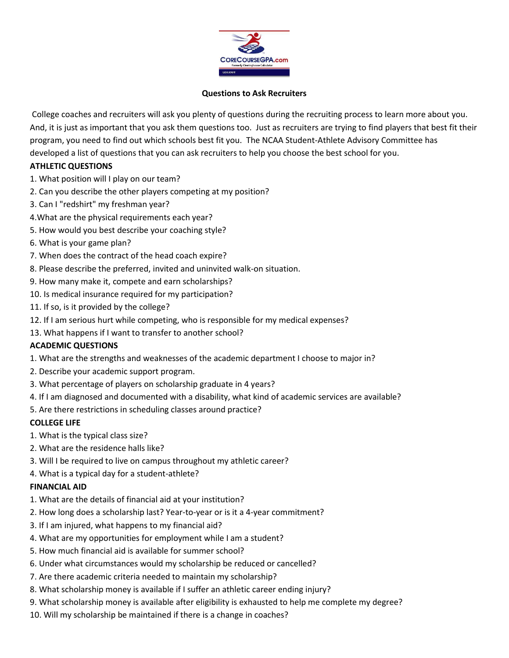

#### **Questions to Ask Recruiters**

College coaches and recruiters will ask you plenty of questions during the recruiting process to learn more about you. And, it is just as important that you ask them questions too. Just as recruiters are trying to find players that best fit their program, you need to find out which schools best fit you. The NCAA Student-Athlete Advisory Committee has developed a list of questions that you can ask recruiters to help you choose the best school for you.

#### **ATHLETIC QUESTIONS**

- 1. What position will I play on our team?
- 2. Can you describe the other players competing at my position?
- 3. Can I "redshirt" my freshman year?
- 4.What are the physical requirements each year?
- 5. How would you best describe your coaching style?
- 6. What is your game plan?
- 7. When does the contract of the head coach expire?
- 8. Please describe the preferred, invited and uninvited walk-on situation.
- 9. How many make it, compete and earn scholarships?
- 10. Is medical insurance required for my participation?
- 11. If so, is it provided by the college?
- 12. If I am serious hurt while competing, who is responsible for my medical expenses?
- 13. What happens if I want to transfer to another school?

#### **ACADEMIC QUESTIONS**

- 1. What are the strengths and weaknesses of the academic department I choose to major in?
- 2. Describe your academic support program.
- 3. What percentage of players on scholarship graduate in 4 years?
- 4. If I am diagnosed and documented with a disability, what kind of academic services are available?
- 5. Are there restrictions in scheduling classes around practice?

### **COLLEGE LIFE**

- 1. What is the typical class size?
- 2. What are the residence halls like?
- 3. Will I be required to live on campus throughout my athletic career?
- 4. What is a typical day for a student-athlete?

#### **FINANCIAL AID**

- 1. What are the details of financial aid at your institution?
- 2. How long does a scholarship last? Year-to-year or is it a 4-year commitment?
- 3. If I am injured, what happens to my financial aid?
- 4. What are my opportunities for employment while I am a student?
- 5. How much financial aid is available for summer school?
- 6. Under what circumstances would my scholarship be reduced or cancelled?
- 7. Are there academic criteria needed to maintain my scholarship?
- 8. What scholarship money is available if I suffer an athletic career ending injury?
- 9. What scholarship money is available after eligibility is exhausted to help me complete my degree?
- 10. Will my scholarship be maintained if there is a change in coaches?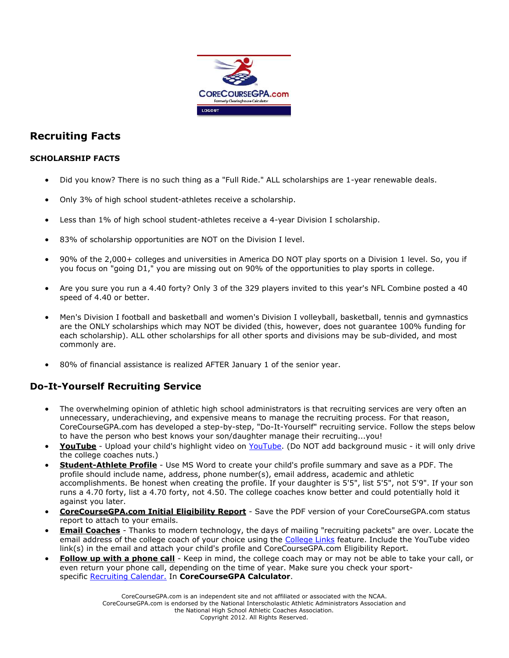

## **Recruiting Facts**

#### **SCHOLARSHIP FACTS**

- Did you know? There is no such thing as a "Full Ride." ALL scholarships are 1-year renewable deals.
- Only 3% of high school student-athletes receive a scholarship.
- Less than 1% of high school student-athletes receive a 4-year Division I scholarship.
- 83% of scholarship opportunities are NOT on the Division I level.
- 90% of the 2,000+ colleges and universities in America DO NOT play sports on a Division 1 level. So, you if you focus on "going D1," you are missing out on 90% of the opportunities to play sports in college.
- Are you sure you run a 4.40 forty? Only 3 of the 329 players invited to this year's NFL Combine posted a 40 speed of 4.40 or better.
- Men's Division I football and basketball and women's Division I volleyball, basketball, tennis and gymnastics are the ONLY scholarships which may NOT be divided (this, however, does not guarantee 100% funding for each scholarship). ALL other scholarships for all other sports and divisions may be sub-divided, and most commonly are.
- 80% of financial assistance is realized AFTER January 1 of the senior year.

#### **Do-It-Yourself Recruiting Service**

- The overwhelming opinion of athletic high school administrators is that recruiting services are very often an unnecessary, underachieving, and expensive means to manage the recruiting process. For that reason, CoreCourseGPA.com has developed a step-by-step, "Do-It-Yourself" recruiting service. Follow the steps below to have the person who best knows your son/daughter manage their recruiting...you!
- **YouTube** Upload your child's highlight video on [YouTube.](http://www.youtube.com/) (Do NOT add background music it will only drive the college coaches nuts.)
- **Student-Athlete Profile** Use MS Word to create your child's profile summary and save as a PDF. The profile should include name, address, phone number(s), email address, academic and athletic accomplishments. Be honest when creating the profile. If your daughter is 5'5", list 5'5", not 5'9". If your son runs a 4.70 forty, list a 4.70 forty, not 4.50. The college coaches know better and could potentially hold it against you later.
- **CoreCourseGPA.com Initial Eligibility Report** Save the PDF version of your CoreCourseGPA.com status report to attach to your emails.
- **Email Coaches** Thanks to modern technology, the days of mailing "recruiting packets" are over. Locate the email address of the college coach of your choice using the [College Links](https://www.clearinghousecalculator.org/topics.php?topicnum=12) feature. Include the YouTube video link(s) in the email and attach your child's profile and CoreCourseGPA.com Eligibility Report.
- **Follow up with a phone call** Keep in mind, the college coach may or may not be able to take your call, or even return your phone call, depending on the time of year. Make sure you check your sportspecific [Recruiting Calendar.](https://www.clearinghousecalculator.org/topics.php?topicnum=4) In **CoreCourseGPA Calculator**.